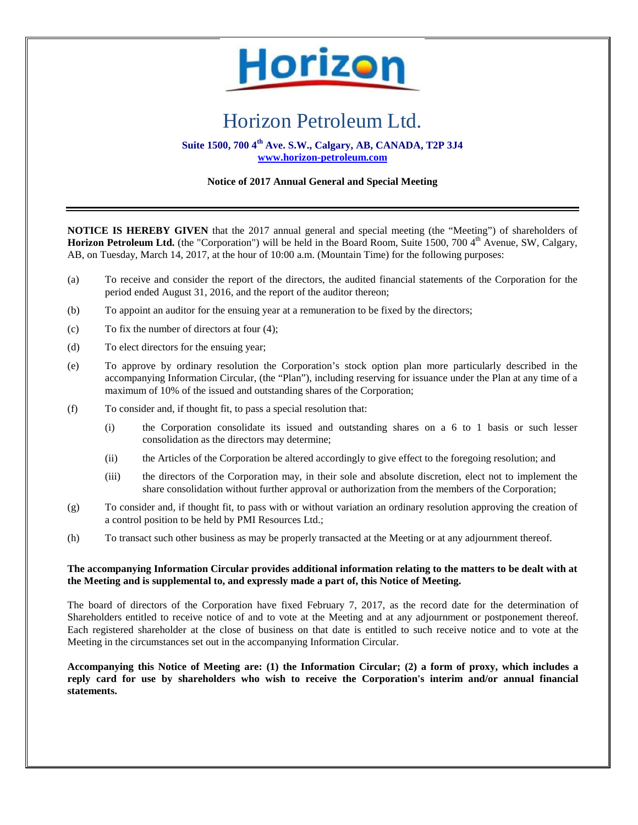

## Horizon Petroleum Ltd.

**Suite 1500, 700 4th Ave. S.W., Calgary, AB, CANADA, T2P 3J4 www.horizon-petroleum.com**

## **Notice of 2017 Annual General and Special Meeting**

**NOTICE IS HEREBY GIVEN** that the 2017 annual general and special meeting (the "Meeting") of shareholders of **Horizon Petroleum Ltd.** (the "Corporation") will be held in the Board Room, Suite 1500, 700 4<sup>th</sup> Avenue, SW, Calgary, AB, on Tuesday, March 14, 2017, at the hour of 10:00 a.m. (Mountain Time) for the following purposes:

- (a) To receive and consider the report of the directors, the audited financial statements of the Corporation for the period ended August 31, 2016, and the report of the auditor thereon;
- (b) To appoint an auditor for the ensuing year at a remuneration to be fixed by the directors;
- (c) To fix the number of directors at four (4);
- (d) To elect directors for the ensuing year;
- (e) To approve by ordinary resolution the Corporation's stock option plan more particularly described in the accompanying Information Circular, (the "Plan"), including reserving for issuance under the Plan at any time of a maximum of 10% of the issued and outstanding shares of the Corporation;
- (f) To consider and, if thought fit, to pass a special resolution that:
	- (i) the Corporation consolidate its issued and outstanding shares on a 6 to 1 basis or such lesser consolidation as the directors may determine;
	- (ii) the Articles of the Corporation be altered accordingly to give effect to the foregoing resolution; and
	- (iii) the directors of the Corporation may, in their sole and absolute discretion, elect not to implement the share consolidation without further approval or authorization from the members of the Corporation;
- (g) To consider and, if thought fit, to pass with or without variation an ordinary resolution approving the creation of a control position to be held by PMI Resources Ltd.;
- (h) To transact such other business as may be properly transacted at the Meeting or at any adjournment thereof.

## **The accompanying Information Circular provides additional information relating to the matters to be dealt with at the Meeting and is supplemental to, and expressly made a part of, this Notice of Meeting.**

The board of directors of the Corporation have fixed February 7, 2017, as the record date for the determination of Shareholders entitled to receive notice of and to vote at the Meeting and at any adjournment or postponement thereof. Each registered shareholder at the close of business on that date is entitled to such receive notice and to vote at the Meeting in the circumstances set out in the accompanying Information Circular.

**Accompanying this Notice of Meeting are: (1) the Information Circular; (2) a form of proxy, which includes a reply card for use by shareholders who wish to receive the Corporation's interim and/or annual financial statements.**